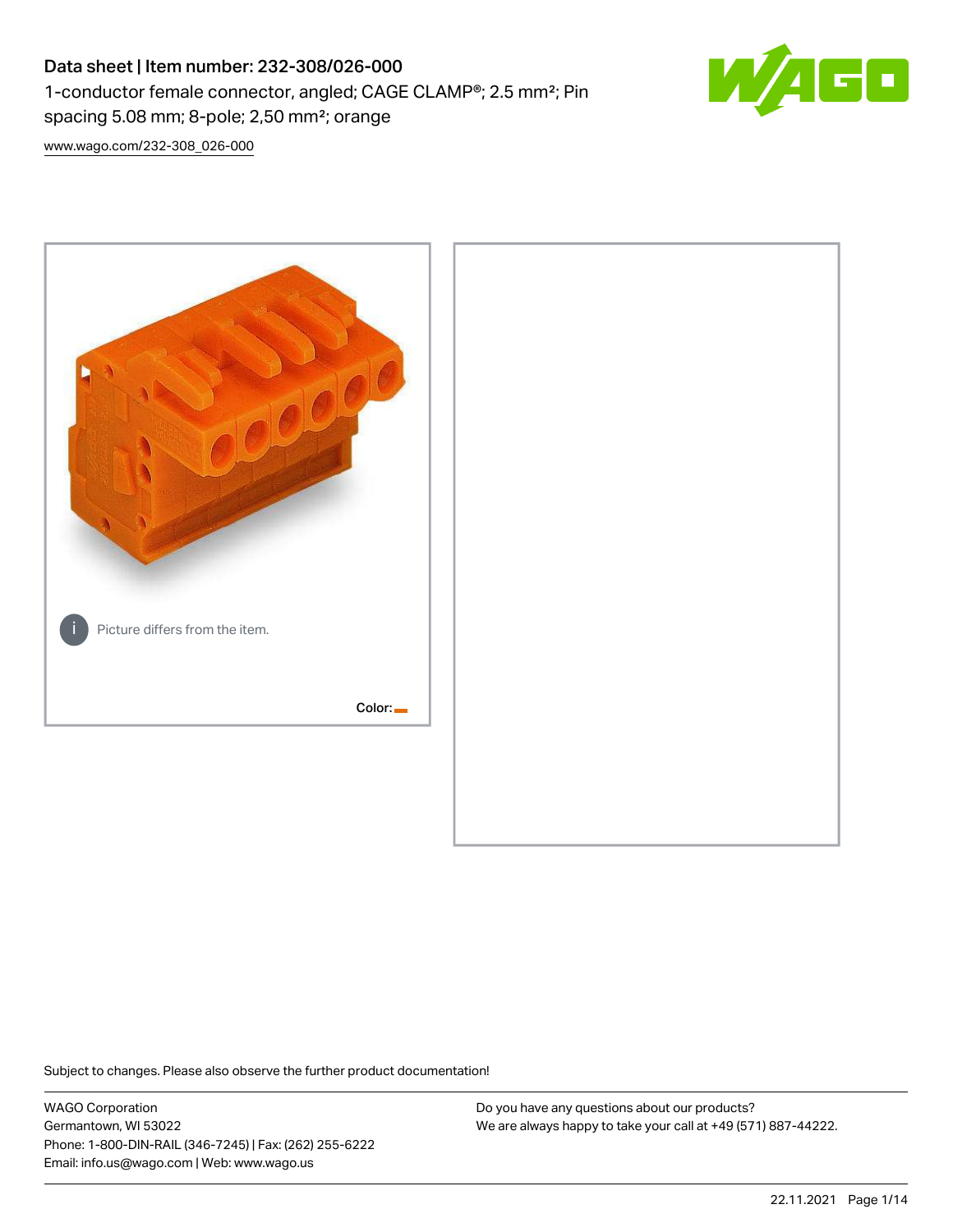# Data sheet | Item number: 232-308/026-000 1-conductor female connector, angled; CAGE CLAMP®; 2.5 mm²; Pin spacing 5.08 mm; 8-pole; 2,50 mm²; orange



[www.wago.com/232-308\\_026-000](http://www.wago.com/232-308_026-000)



Subject to changes. Please also observe the further product documentation!

WAGO Corporation Germantown, WI 53022 Phone: 1-800-DIN-RAIL (346-7245) | Fax: (262) 255-6222 Email: info.us@wago.com | Web: www.wago.us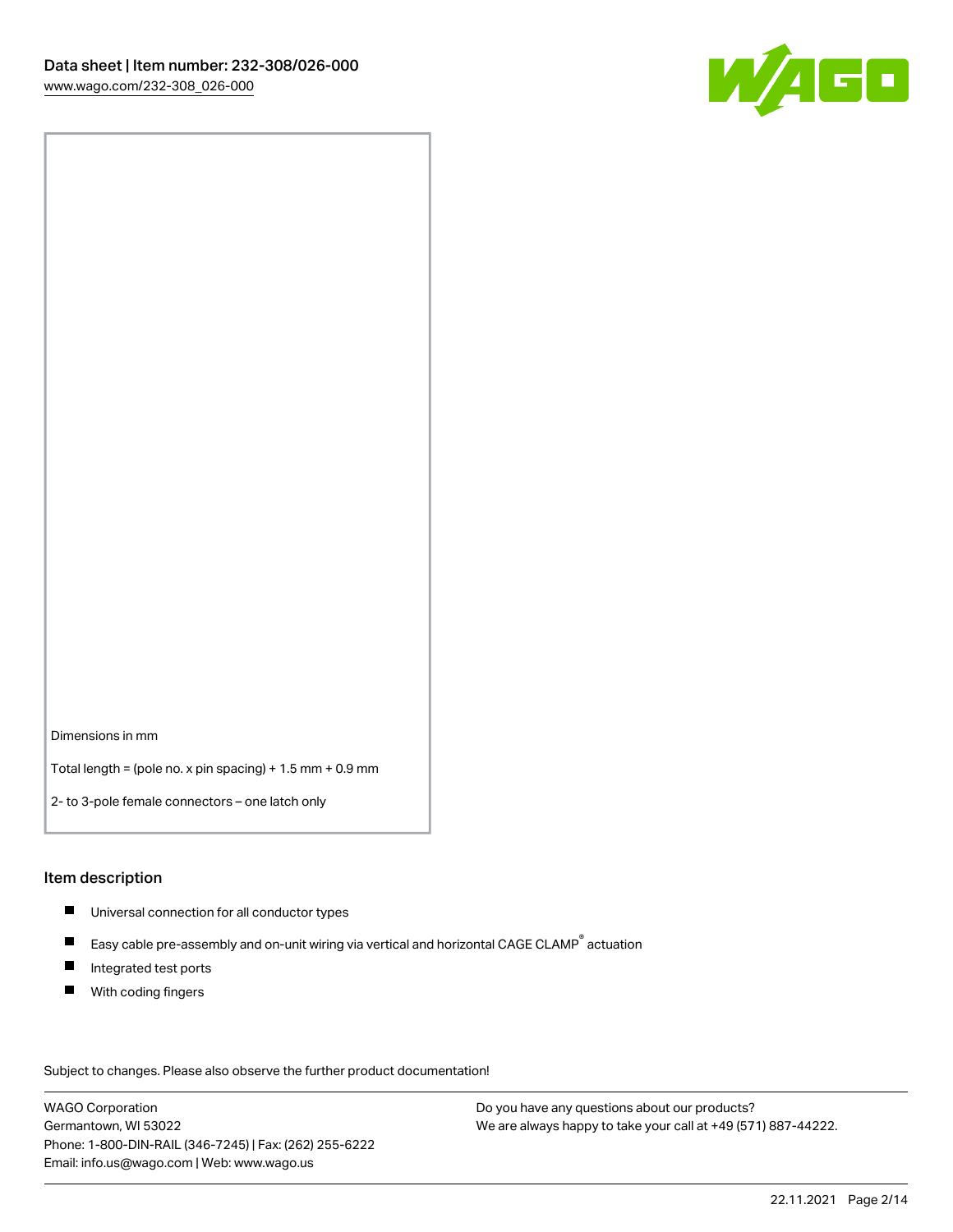

Dimensions in mm

Total length = (pole no. x pin spacing) + 1.5 mm + 0.9 mm

2- to 3-pole female connectors – one latch only

#### Item description

- **Universal connection for all conductor types**
- Easy cable pre-assembly and on-unit wiring via vertical and horizontal CAGE CLAMP<sup>®</sup> actuation  $\blacksquare$
- $\blacksquare$ Integrated test ports
- $\blacksquare$ With coding fingers

Subject to changes. Please also observe the further product documentation! Data

WAGO Corporation Germantown, WI 53022 Phone: 1-800-DIN-RAIL (346-7245) | Fax: (262) 255-6222 Email: info.us@wago.com | Web: www.wago.us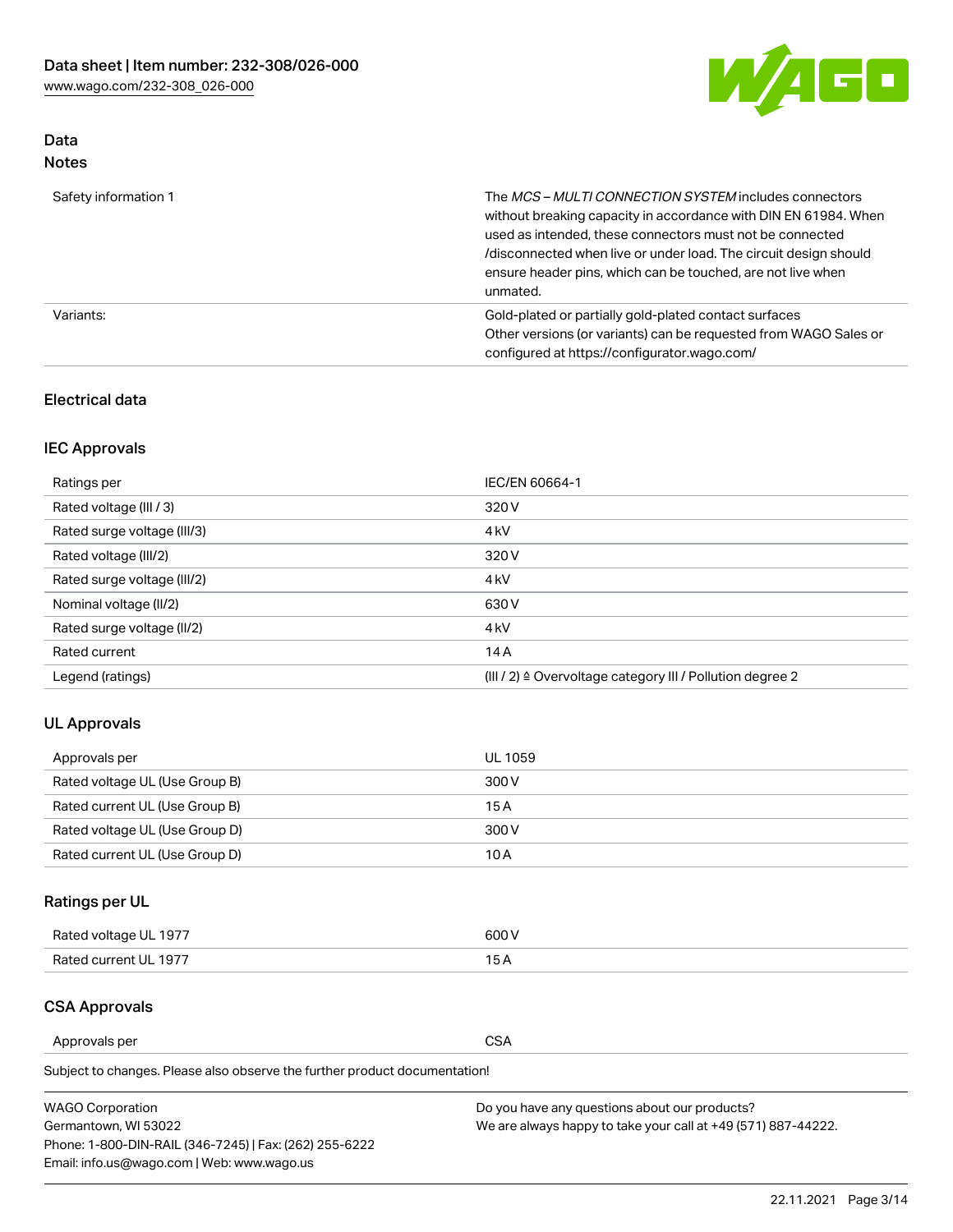

# Data Notes

| Safety information 1 | The MCS-MULTI CONNECTION SYSTEM includes connectors<br>without breaking capacity in accordance with DIN EN 61984. When<br>used as intended, these connectors must not be connected<br>/disconnected when live or under load. The circuit design should<br>ensure header pins, which can be touched, are not live when<br>unmated. |
|----------------------|-----------------------------------------------------------------------------------------------------------------------------------------------------------------------------------------------------------------------------------------------------------------------------------------------------------------------------------|
| Variants:            | Gold-plated or partially gold-plated contact surfaces<br>Other versions (or variants) can be requested from WAGO Sales or<br>configured at https://configurator.wago.com/                                                                                                                                                         |

### Electrical data

# IEC Approvals

| Ratings per                 | IEC/EN 60664-1                                                        |
|-----------------------------|-----------------------------------------------------------------------|
| Rated voltage (III / 3)     | 320 V                                                                 |
| Rated surge voltage (III/3) | 4 <sub>k</sub> V                                                      |
| Rated voltage (III/2)       | 320 V                                                                 |
| Rated surge voltage (III/2) | 4 <sub>k</sub> V                                                      |
| Nominal voltage (II/2)      | 630 V                                                                 |
| Rated surge voltage (II/2)  | 4 <sub>k</sub> V                                                      |
| Rated current               | 14A                                                                   |
| Legend (ratings)            | $(III / 2)$ $\triangle$ Overvoltage category III / Pollution degree 2 |

## UL Approvals

| Approvals per                  | UL 1059 |
|--------------------------------|---------|
| Rated voltage UL (Use Group B) | 300 V   |
| Rated current UL (Use Group B) | 15 A    |
| Rated voltage UL (Use Group D) | 300 V   |
| Rated current UL (Use Group D) | 10 A    |

# Ratings per UL

| Rated voltage UL 1977 | 300 V |
|-----------------------|-------|
| Rated current UL 1977 |       |

#### CSA Approvals

Approvals per CSA

Subject to changes. Please also observe the further product documentation!

| <b>WAGO Corporation</b>                                | Do you have any questions about our products?                 |
|--------------------------------------------------------|---------------------------------------------------------------|
| Germantown, WI 53022                                   | We are always happy to take your call at +49 (571) 887-44222. |
| Phone: 1-800-DIN-RAIL (346-7245)   Fax: (262) 255-6222 |                                                               |
| Email: info.us@wago.com   Web: www.wago.us             |                                                               |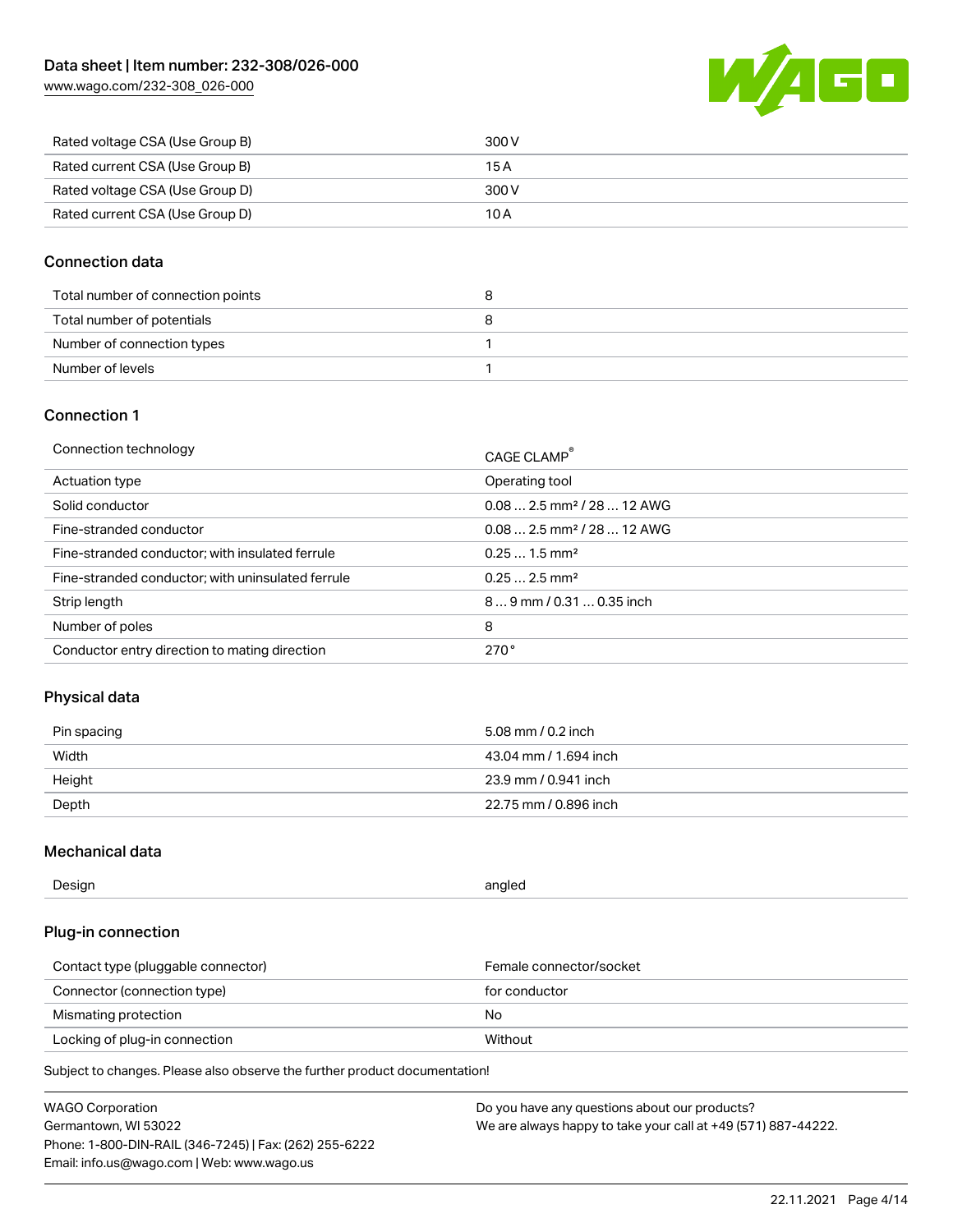[www.wago.com/232-308\\_026-000](http://www.wago.com/232-308_026-000)



| Rated voltage CSA (Use Group B) | 300 V |
|---------------------------------|-------|
| Rated current CSA (Use Group B) | 15 A  |
| Rated voltage CSA (Use Group D) | 300 V |
| Rated current CSA (Use Group D) | 10 A  |

### Connection data

| Total number of connection points |  |
|-----------------------------------|--|
| Total number of potentials        |  |
| Number of connection types        |  |
| Number of levels                  |  |

# Connection 1

| Connection technology                             | CAGE CLAMP®                            |
|---------------------------------------------------|----------------------------------------|
| Actuation type                                    | Operating tool                         |
| Solid conductor                                   | $0.082.5$ mm <sup>2</sup> / 28  12 AWG |
| Fine-stranded conductor                           | $0.082.5$ mm <sup>2</sup> / 28  12 AWG |
| Fine-stranded conductor; with insulated ferrule   | $0.251.5$ mm <sup>2</sup>              |
| Fine-stranded conductor; with uninsulated ferrule | $0.252.5$ mm <sup>2</sup>              |
| Strip length                                      | $89$ mm / 0.31  0.35 inch              |
| Number of poles                                   | 8                                      |
| Conductor entry direction to mating direction     | 270°                                   |

## Physical data

| Pin spacing | 5.08 mm / 0.2 inch    |
|-------------|-----------------------|
| Width       | 43.04 mm / 1.694 inch |
| Height      | 23.9 mm / 0.941 inch  |
| Depth       | 22.75 mm / 0.896 inch |

## Mechanical data

| --<br>Design | angled<br>. . |
|--------------|---------------|
|              |               |

## Plug-in connection

| Contact type (pluggable connector) | Female connector/socket |
|------------------------------------|-------------------------|
| Connector (connection type)        | for conductor           |
| Mismating protection               | No                      |
| Locking of plug-in connection      | Without                 |

Subject to changes. Please also observe the further product documentation!

| <b>WAGO Corporation</b>                                | Do you have any questions about our products?                 |
|--------------------------------------------------------|---------------------------------------------------------------|
| Germantown, WI 53022                                   | We are always happy to take your call at +49 (571) 887-44222. |
| Phone: 1-800-DIN-RAIL (346-7245)   Fax: (262) 255-6222 |                                                               |
| Email: info.us@wago.com   Web: www.wago.us             |                                                               |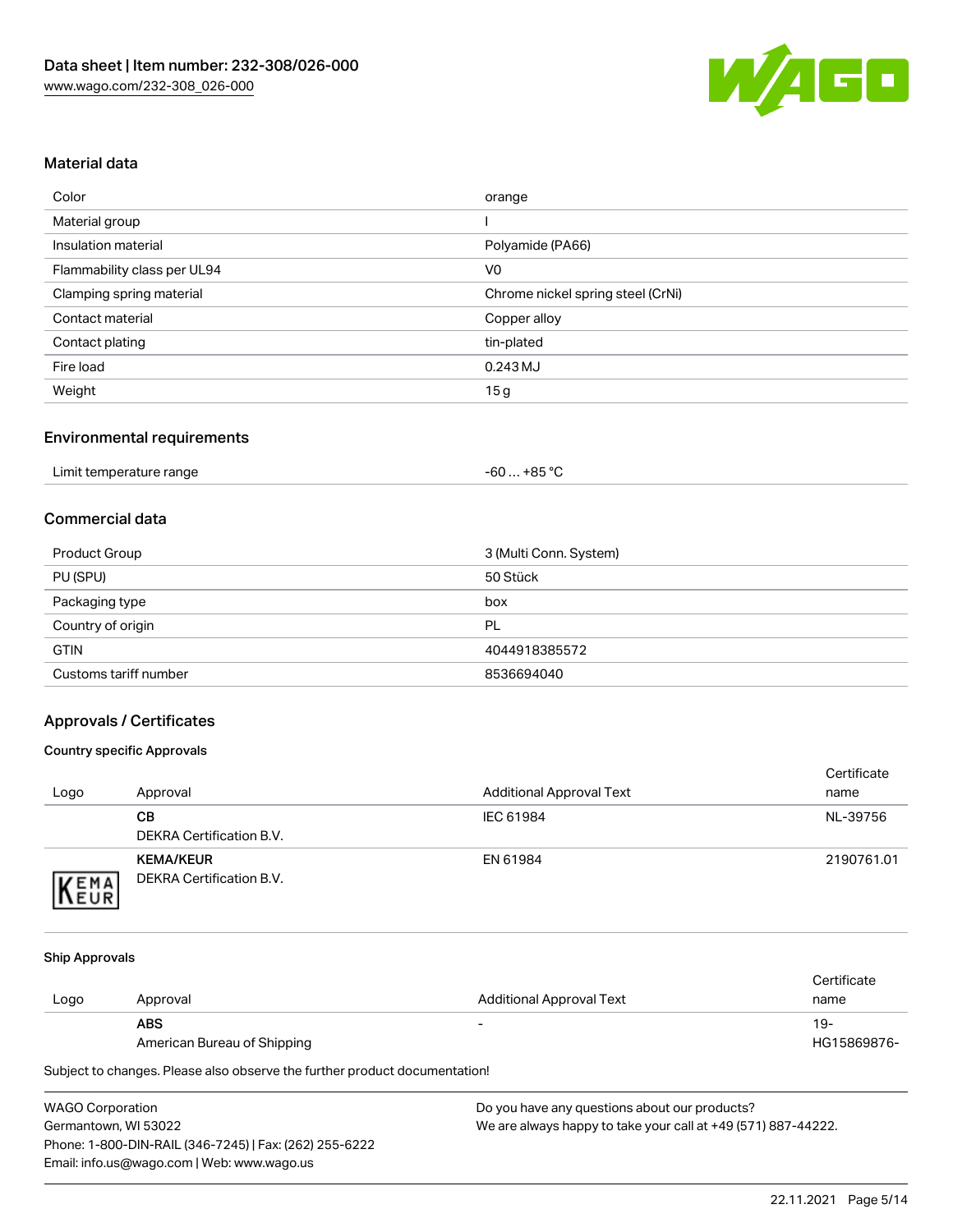

## Material data

| Color                       | orange                            |
|-----------------------------|-----------------------------------|
| Material group              |                                   |
| Insulation material         | Polyamide (PA66)                  |
| Flammability class per UL94 | V <sub>0</sub>                    |
| Clamping spring material    | Chrome nickel spring steel (CrNi) |
| Contact material            | Copper alloy                      |
| Contact plating             | tin-plated                        |
| Fire load                   | 0.243 MJ                          |
| Weight                      | 15g                               |

### Environmental requirements

| Limit temperature range<br>. | $. +85 °C$<br>-60 |  |
|------------------------------|-------------------|--|
|------------------------------|-------------------|--|

#### Commercial data

| Product Group         | 3 (Multi Conn. System) |
|-----------------------|------------------------|
| PU (SPU)              | 50 Stück               |
| Packaging type        | box                    |
| Country of origin     | PL                     |
| <b>GTIN</b>           | 4044918385572          |
| Customs tariff number | 8536694040             |

## Approvals / Certificates

#### Country specific Approvals

| Logo                | Approval                                     | <b>Additional Approval Text</b> | Certificate<br>name |
|---------------------|----------------------------------------------|---------------------------------|---------------------|
|                     | CВ<br>DEKRA Certification B.V.               | IEC 61984                       | NL-39756            |
| EMA<br><b>INEUR</b> | <b>KEMA/KEUR</b><br>DEKRA Certification B.V. | EN 61984                        | 2190761.01          |

#### Ship Approvals

|      |                             |                                 | Certificate |
|------|-----------------------------|---------------------------------|-------------|
| Logo | Approval                    | <b>Additional Approval Text</b> | name        |
|      | <b>ABS</b>                  | $\overline{\phantom{0}}$        | 19-         |
|      | American Bureau of Shipping |                                 | HG15869876- |

Subject to changes. Please also observe the further product documentation!

| <b>WAGO Corporation</b>                                | Do v |
|--------------------------------------------------------|------|
| Germantown, WI 53022                                   | We a |
| Phone: 1-800-DIN-RAIL (346-7245)   Fax: (262) 255-6222 |      |
| Email: info.us@wago.com   Web: www.wago.us             |      |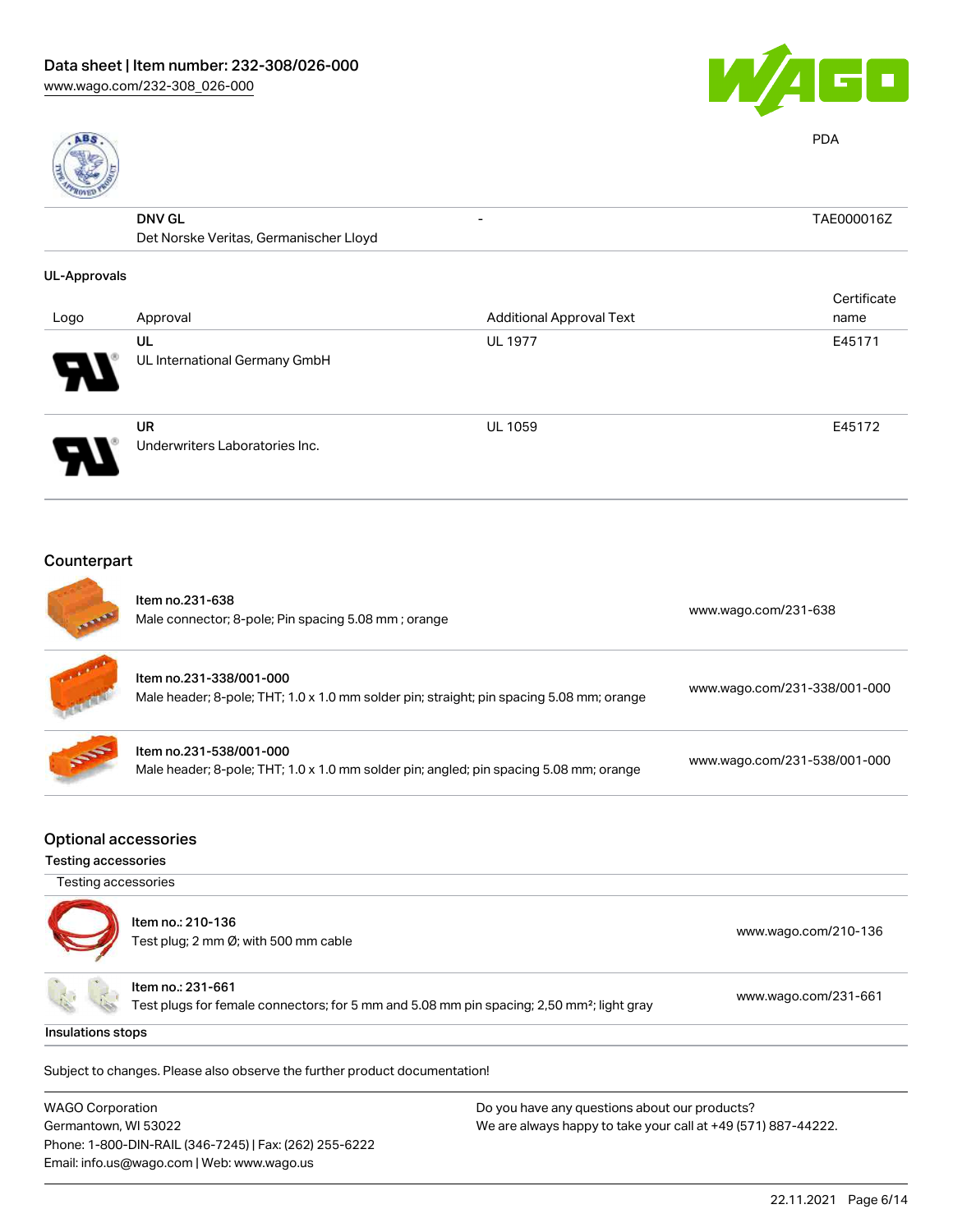Phone: 1-800-DIN-RAIL (346-7245) | Fax: (262) 255-6222

Email: info.us@wago.com | Web: www.wago.us





PDA

| 녢                   |                                             |                                 |             |
|---------------------|---------------------------------------------|---------------------------------|-------------|
|                     | <b>DNV GL</b>                               | -                               | TAE000016Z  |
|                     | Det Norske Veritas, Germanischer Lloyd      |                                 |             |
| <b>UL-Approvals</b> |                                             |                                 |             |
|                     |                                             |                                 | Certificate |
| Logo                | Approval                                    | <b>Additional Approval Text</b> | name        |
|                     | UL                                          | <b>UL 1977</b>                  | E45171      |
|                     | UL International Germany GmbH               |                                 |             |
|                     | <b>UR</b><br>Underwriters Laboratories Inc. | <b>UL 1059</b>                  | E45172      |

# Counterpart

|                                                           | Item no.231-638<br>Male connector; 8-pole; Pin spacing 5.08 mm; orange                                                     | www.wago.com/231-638                                          |
|-----------------------------------------------------------|----------------------------------------------------------------------------------------------------------------------------|---------------------------------------------------------------|
|                                                           | Item no.231-338/001-000<br>Male header; 8-pole; THT; 1.0 x 1.0 mm solder pin; straight; pin spacing 5.08 mm; orange        | www.wago.com/231-338/001-000                                  |
|                                                           | Item no.231-538/001-000<br>Male header; 8-pole; THT; 1.0 x 1.0 mm solder pin; angled; pin spacing 5.08 mm; orange          | www.wago.com/231-538/001-000                                  |
| <b>Optional accessories</b><br><b>Testing accessories</b> |                                                                                                                            |                                                               |
| Testing accessories                                       |                                                                                                                            |                                                               |
|                                                           | Item no.: 210-136<br>Test plug; 2 mm Ø; with 500 mm cable                                                                  | www.wago.com/210-136                                          |
|                                                           | Item no.: 231-661<br>Test plugs for female connectors; for 5 mm and 5.08 mm pin spacing; 2,50 mm <sup>2</sup> ; light gray | www.wago.com/231-661                                          |
| Insulations stops                                         |                                                                                                                            |                                                               |
|                                                           | Subject to changes. Please also observe the further product documentation!                                                 |                                                               |
| <b>WAGO Corporation</b>                                   |                                                                                                                            | Do you have any questions about our products?                 |
| Germantown, WI 53022                                      |                                                                                                                            | We are always happy to take your call at +49 (571) 887-44222. |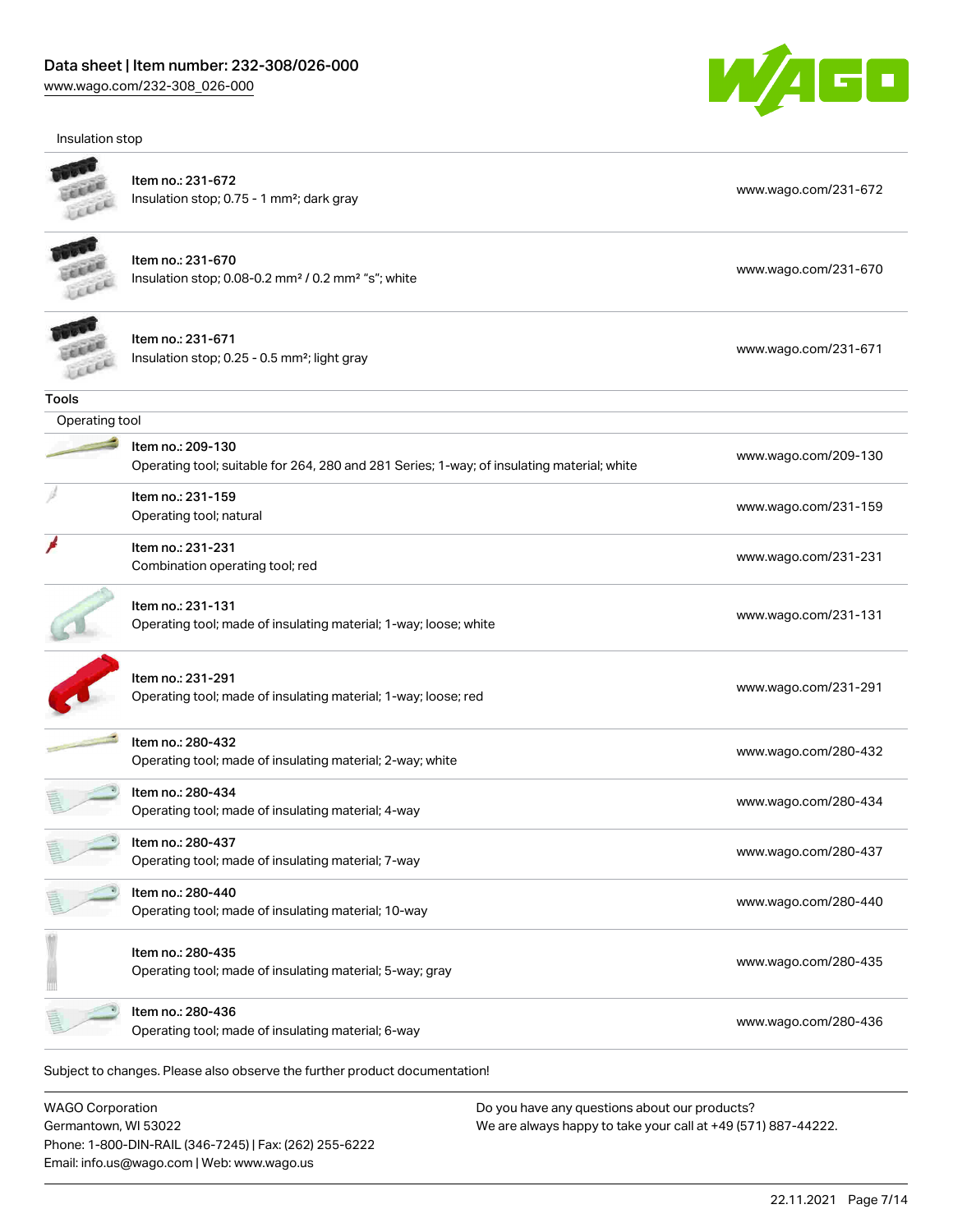Insulation stop



| Item no.: 231-672                                                                          | www.wago.com/231-672 |
|--------------------------------------------------------------------------------------------|----------------------|
|                                                                                            |                      |
| Insulation stop; 0.75 - 1 mm <sup>2</sup> ; dark gray                                      |                      |
| Item no.: 231-670                                                                          |                      |
| Insulation stop; 0.08-0.2 mm <sup>2</sup> / 0.2 mm <sup>2</sup> "s"; white                 | www.wago.com/231-670 |
| Item no.: 231-671                                                                          | www.wago.com/231-671 |
| Insulation stop; 0.25 - 0.5 mm <sup>2</sup> ; light gray                                   |                      |
| <b>Tools</b>                                                                               |                      |
| Operating tool                                                                             |                      |
| Item no.: 209-130                                                                          |                      |
| Operating tool; suitable for 264, 280 and 281 Series; 1-way; of insulating material; white | www.wago.com/209-130 |
| Item no.: 231-159                                                                          | www.wago.com/231-159 |
| Operating tool; natural                                                                    |                      |
| Item no.: 231-231                                                                          | www.wago.com/231-231 |
| Combination operating tool; red                                                            |                      |
| Item no.: 231-131                                                                          |                      |
| Operating tool; made of insulating material; 1-way; loose; white                           | www.wago.com/231-131 |
| Item no.: 231-291                                                                          | www.wago.com/231-291 |
| Operating tool; made of insulating material; 1-way; loose; red                             |                      |
| Item no.: 280-432                                                                          |                      |
| Operating tool; made of insulating material; 2-way; white                                  | www.wago.com/280-432 |
| Item no.: 280-434                                                                          | www.wago.com/280-434 |
| Operating tool; made of insulating material; 4-way                                         |                      |
| Item no.: 280-437                                                                          | www.wago.com/280-437 |
| Operating tool; made of insulating material; 7-way                                         |                      |
| Item no.: 280-440                                                                          | www.wago.com/280-440 |
| Operating tool; made of insulating material; 10-way                                        |                      |
| Item no.: 280-435                                                                          |                      |
| Operating tool; made of insulating material; 5-way; gray                                   | www.wago.com/280-435 |
| Item no.: 280-436                                                                          |                      |
| Operating tool; made of insulating material; 6-way                                         | www.wago.com/280-436 |
| Subject to changes. Please also observe the further product documentation!                 |                      |
| $MACO$ Corporation<br>Do vou bave any questions about our products?                        |                      |

WAGO Corporation Germantown, WI 53022 Phone: 1-800-DIN-RAIL (346-7245) | Fax: (262) 255-6222 Email: info.us@wago.com | Web: www.wago.us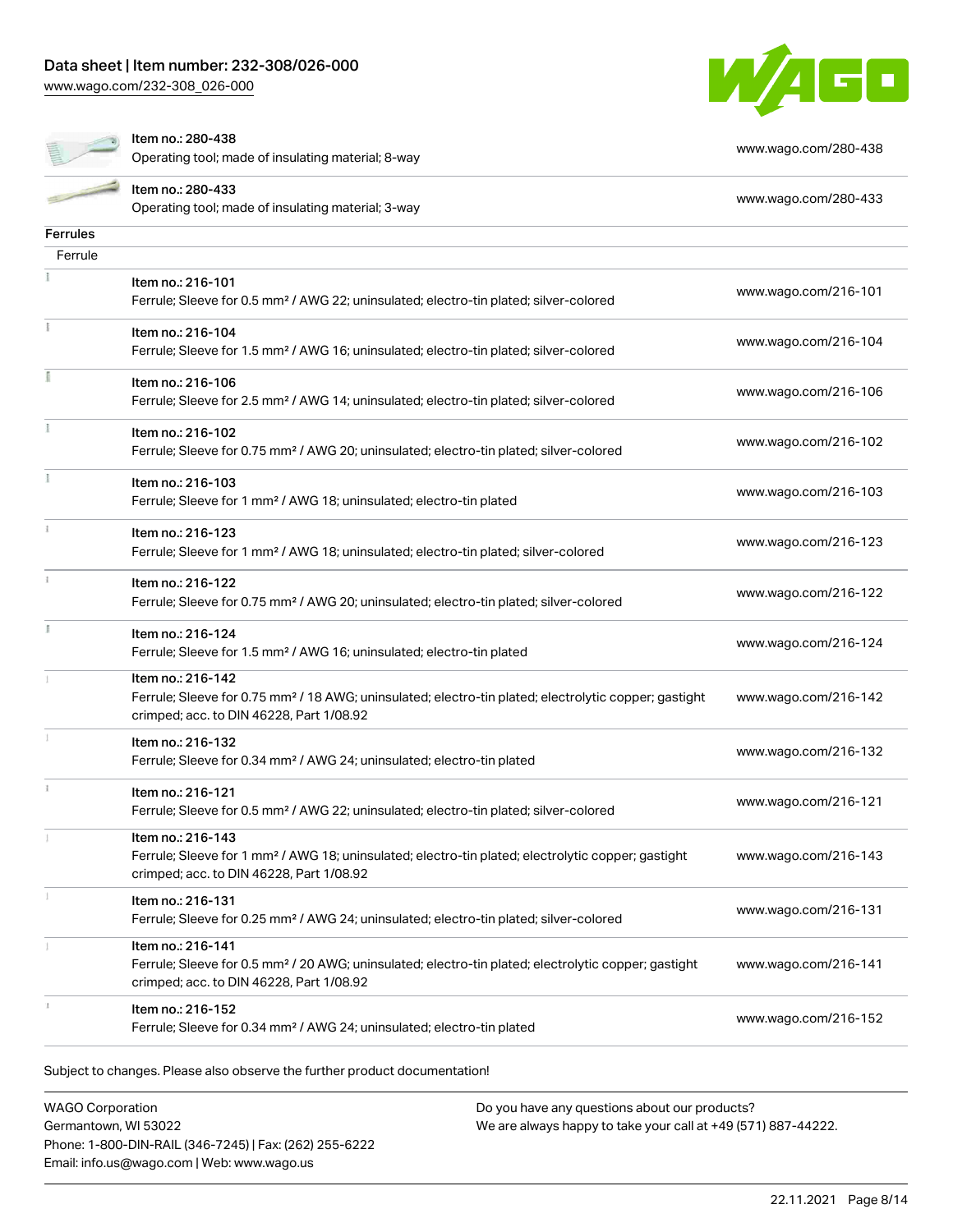[www.wago.com/232-308\\_026-000](http://www.wago.com/232-308_026-000)



| Item no.: 280-438 |  |
|-------------------|--|
|-------------------|--|

Operating tool; made of insulating material; 8-way [www.wago.com/280-438](http://www.wago.com/280-438)

|                 | Item no.: 280-433                                                                                                                                             | www.wago.com/280-433 |
|-----------------|---------------------------------------------------------------------------------------------------------------------------------------------------------------|----------------------|
|                 | Operating tool; made of insulating material; 3-way                                                                                                            |                      |
| <b>Ferrules</b> |                                                                                                                                                               |                      |
| Ferrule         |                                                                                                                                                               |                      |
|                 | Item no.: 216-101                                                                                                                                             | www.wago.com/216-101 |
|                 | Ferrule; Sleeve for 0.5 mm <sup>2</sup> / AWG 22; uninsulated; electro-tin plated; silver-colored                                                             |                      |
|                 | Item no.: 216-104                                                                                                                                             | www.wago.com/216-104 |
|                 | Ferrule; Sleeve for 1.5 mm <sup>2</sup> / AWG 16; uninsulated; electro-tin plated; silver-colored                                                             |                      |
|                 | Item no.: 216-106                                                                                                                                             | www.wago.com/216-106 |
|                 | Ferrule; Sleeve for 2.5 mm <sup>2</sup> / AWG 14; uninsulated; electro-tin plated; silver-colored                                                             |                      |
|                 | Item no.: 216-102                                                                                                                                             |                      |
|                 | Ferrule; Sleeve for 0.75 mm <sup>2</sup> / AWG 20; uninsulated; electro-tin plated; silver-colored                                                            | www.wago.com/216-102 |
|                 | Item no.: 216-103                                                                                                                                             |                      |
|                 | Ferrule; Sleeve for 1 mm <sup>2</sup> / AWG 18; uninsulated; electro-tin plated                                                                               | www.wago.com/216-103 |
|                 | Item no.: 216-123                                                                                                                                             |                      |
|                 | Ferrule; Sleeve for 1 mm <sup>2</sup> / AWG 18; uninsulated; electro-tin plated; silver-colored                                                               | www.wago.com/216-123 |
|                 | Item no.: 216-122                                                                                                                                             |                      |
|                 | Ferrule; Sleeve for 0.75 mm <sup>2</sup> / AWG 20; uninsulated; electro-tin plated; silver-colored                                                            | www.wago.com/216-122 |
|                 | Item no.: 216-124                                                                                                                                             |                      |
|                 | Ferrule; Sleeve for 1.5 mm <sup>2</sup> / AWG 16; uninsulated; electro-tin plated                                                                             | www.wago.com/216-124 |
|                 | Item no.: 216-142                                                                                                                                             |                      |
|                 | Ferrule; Sleeve for 0.75 mm <sup>2</sup> / 18 AWG; uninsulated; electro-tin plated; electrolytic copper; gastight<br>crimped; acc. to DIN 46228, Part 1/08.92 | www.wago.com/216-142 |
|                 |                                                                                                                                                               |                      |
|                 | Item no.: 216-132<br>Ferrule; Sleeve for 0.34 mm <sup>2</sup> / AWG 24; uninsulated; electro-tin plated                                                       | www.wago.com/216-132 |
|                 |                                                                                                                                                               |                      |
|                 | Item no.: 216-121<br>Ferrule; Sleeve for 0.5 mm <sup>2</sup> / AWG 22; uninsulated; electro-tin plated; silver-colored                                        | www.wago.com/216-121 |
|                 | Item no.: 216-143                                                                                                                                             |                      |
|                 | Ferrule; Sleeve for 1 mm <sup>2</sup> / AWG 18; uninsulated; electro-tin plated; electrolytic copper; gastight                                                | www.wago.com/216-143 |
|                 | crimped; acc. to DIN 46228, Part 1/08.92                                                                                                                      |                      |
|                 | Item no.: 216-131                                                                                                                                             |                      |
|                 | Ferrule; Sleeve for 0.25 mm <sup>2</sup> / AWG 24; uninsulated; electro-tin plated; silver-colored                                                            | www.wago.com/216-131 |
|                 | Item no.: 216-141                                                                                                                                             |                      |
|                 | Ferrule; Sleeve for 0.5 mm <sup>2</sup> / 20 AWG; uninsulated; electro-tin plated; electrolytic copper; gastight                                              | www.wago.com/216-141 |
|                 | crimped; acc. to DIN 46228, Part 1/08.92                                                                                                                      |                      |
|                 | Item no.: 216-152<br>Ferrule; Sleeve for 0.34 mm <sup>2</sup> / AWG 24; uninsulated; electro-tin plated                                                       | www.wago.com/216-152 |
|                 |                                                                                                                                                               |                      |
|                 | Subject to changes. Please also observe the further product documentation!                                                                                    |                      |
|                 |                                                                                                                                                               |                      |

WAGO Corporation Germantown, WI 53022 Phone: 1-800-DIN-RAIL (346-7245) | Fax: (262) 255-6222 Email: info.us@wago.com | Web: www.wago.us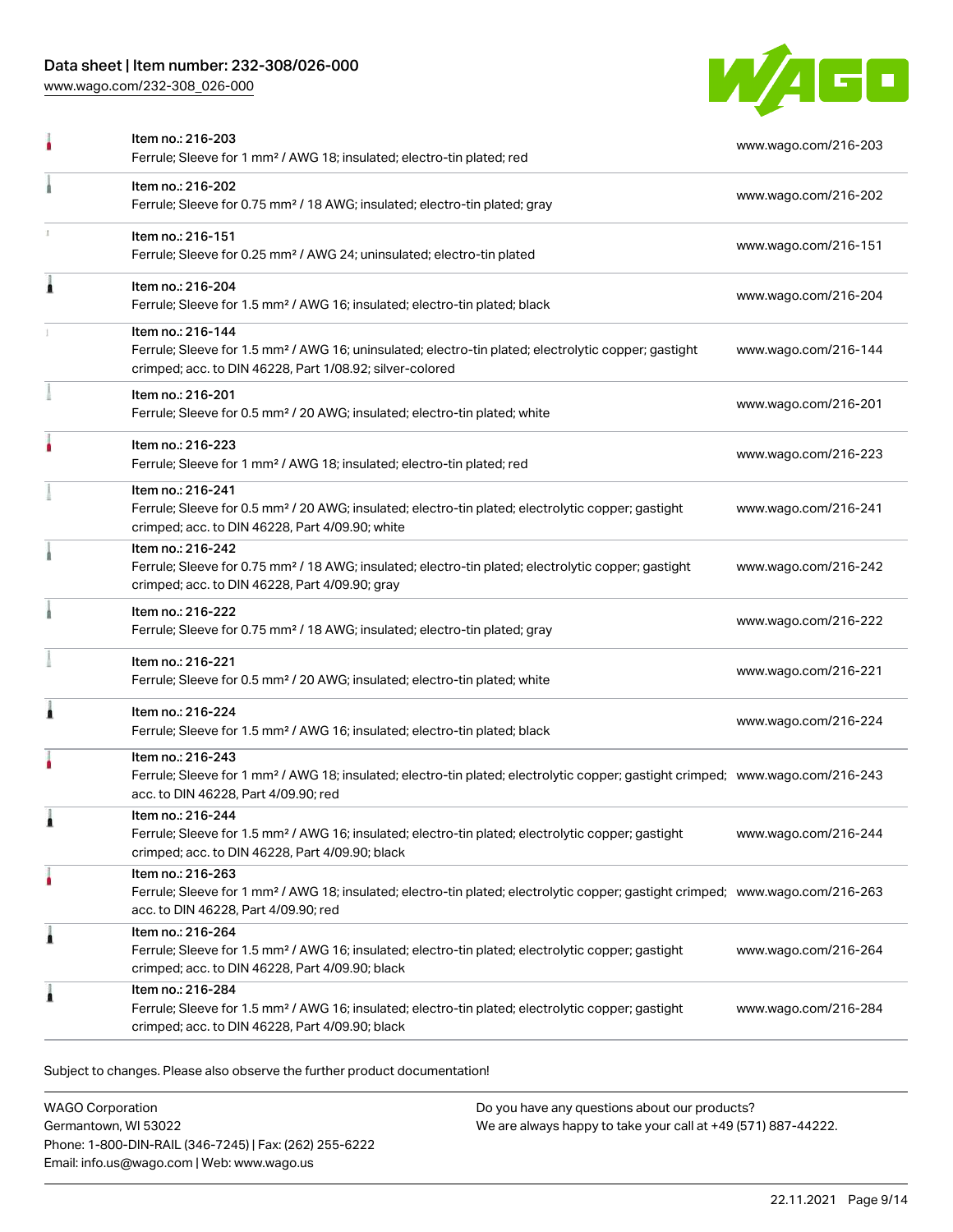# Data sheet | Item number: 232-308/026-000

[www.wago.com/232-308\\_026-000](http://www.wago.com/232-308_026-000)



|   | Item no.: 216-203<br>Ferrule; Sleeve for 1 mm <sup>2</sup> / AWG 18; insulated; electro-tin plated; red                                                                                                 | www.wago.com/216-203 |
|---|---------------------------------------------------------------------------------------------------------------------------------------------------------------------------------------------------------|----------------------|
|   | Item no.: 216-202<br>Ferrule; Sleeve for 0.75 mm <sup>2</sup> / 18 AWG; insulated; electro-tin plated; gray                                                                                             | www.wago.com/216-202 |
|   | Item no.: 216-151<br>Ferrule; Sleeve for 0.25 mm <sup>2</sup> / AWG 24; uninsulated; electro-tin plated                                                                                                 | www.wago.com/216-151 |
| Â | Item no.: 216-204<br>Ferrule; Sleeve for 1.5 mm <sup>2</sup> / AWG 16; insulated; electro-tin plated; black                                                                                             | www.wago.com/216-204 |
|   | Item no.: 216-144<br>Ferrule; Sleeve for 1.5 mm <sup>2</sup> / AWG 16; uninsulated; electro-tin plated; electrolytic copper; gastight<br>crimped; acc. to DIN 46228, Part 1/08.92; silver-colored       | www.wago.com/216-144 |
|   | Item no.: 216-201<br>Ferrule; Sleeve for 0.5 mm <sup>2</sup> / 20 AWG; insulated; electro-tin plated; white                                                                                             | www.wago.com/216-201 |
|   | Item no.: 216-223<br>Ferrule; Sleeve for 1 mm <sup>2</sup> / AWG 18; insulated; electro-tin plated; red                                                                                                 | www.wago.com/216-223 |
|   | Item no.: 216-241<br>Ferrule; Sleeve for 0.5 mm <sup>2</sup> / 20 AWG; insulated; electro-tin plated; electrolytic copper; gastight<br>crimped; acc. to DIN 46228, Part 4/09.90; white                  | www.wago.com/216-241 |
|   | Item no.: 216-242<br>Ferrule; Sleeve for 0.75 mm <sup>2</sup> / 18 AWG; insulated; electro-tin plated; electrolytic copper; gastight<br>crimped; acc. to DIN 46228, Part 4/09.90; gray                  | www.wago.com/216-242 |
|   | Item no.: 216-222<br>Ferrule; Sleeve for 0.75 mm <sup>2</sup> / 18 AWG; insulated; electro-tin plated; gray                                                                                             | www.wago.com/216-222 |
|   | Item no.: 216-221<br>Ferrule; Sleeve for 0.5 mm <sup>2</sup> / 20 AWG; insulated; electro-tin plated; white                                                                                             | www.wago.com/216-221 |
| Â | Item no.: 216-224<br>Ferrule; Sleeve for 1.5 mm <sup>2</sup> / AWG 16; insulated; electro-tin plated; black                                                                                             | www.wago.com/216-224 |
|   | Item no.: 216-243<br>Ferrule; Sleeve for 1 mm <sup>2</sup> / AWG 18; insulated; electro-tin plated; electrolytic copper; gastight crimped; www.wago.com/216-243<br>acc. to DIN 46228, Part 4/09.90; red |                      |
|   | Item no.: 216-244<br>Ferrule; Sleeve for 1.5 mm <sup>2</sup> / AWG 16; insulated; electro-tin plated; electrolytic copper; gastight<br>crimped; acc. to DIN 46228, Part 4/09.90; black                  | www.wago.com/216-244 |
|   | Item no.: 216-263<br>Ferrule; Sleeve for 1 mm <sup>2</sup> / AWG 18; insulated; electro-tin plated; electrolytic copper; gastight crimped; www.wago.com/216-263<br>acc. to DIN 46228, Part 4/09.90; red |                      |
| 1 | Item no.: 216-264<br>Ferrule; Sleeve for 1.5 mm <sup>2</sup> / AWG 16; insulated; electro-tin plated; electrolytic copper; gastight<br>crimped; acc. to DIN 46228, Part 4/09.90; black                  | www.wago.com/216-264 |
| ı | Item no.: 216-284<br>Ferrule; Sleeve for 1.5 mm <sup>2</sup> / AWG 16; insulated; electro-tin plated; electrolytic copper; gastight<br>crimped; acc. to DIN 46228, Part 4/09.90; black                  | www.wago.com/216-284 |
|   |                                                                                                                                                                                                         |                      |

Subject to changes. Please also observe the further product documentation!

WAGO Corporation Germantown, WI 53022 Phone: 1-800-DIN-RAIL (346-7245) | Fax: (262) 255-6222 Email: info.us@wago.com | Web: www.wago.us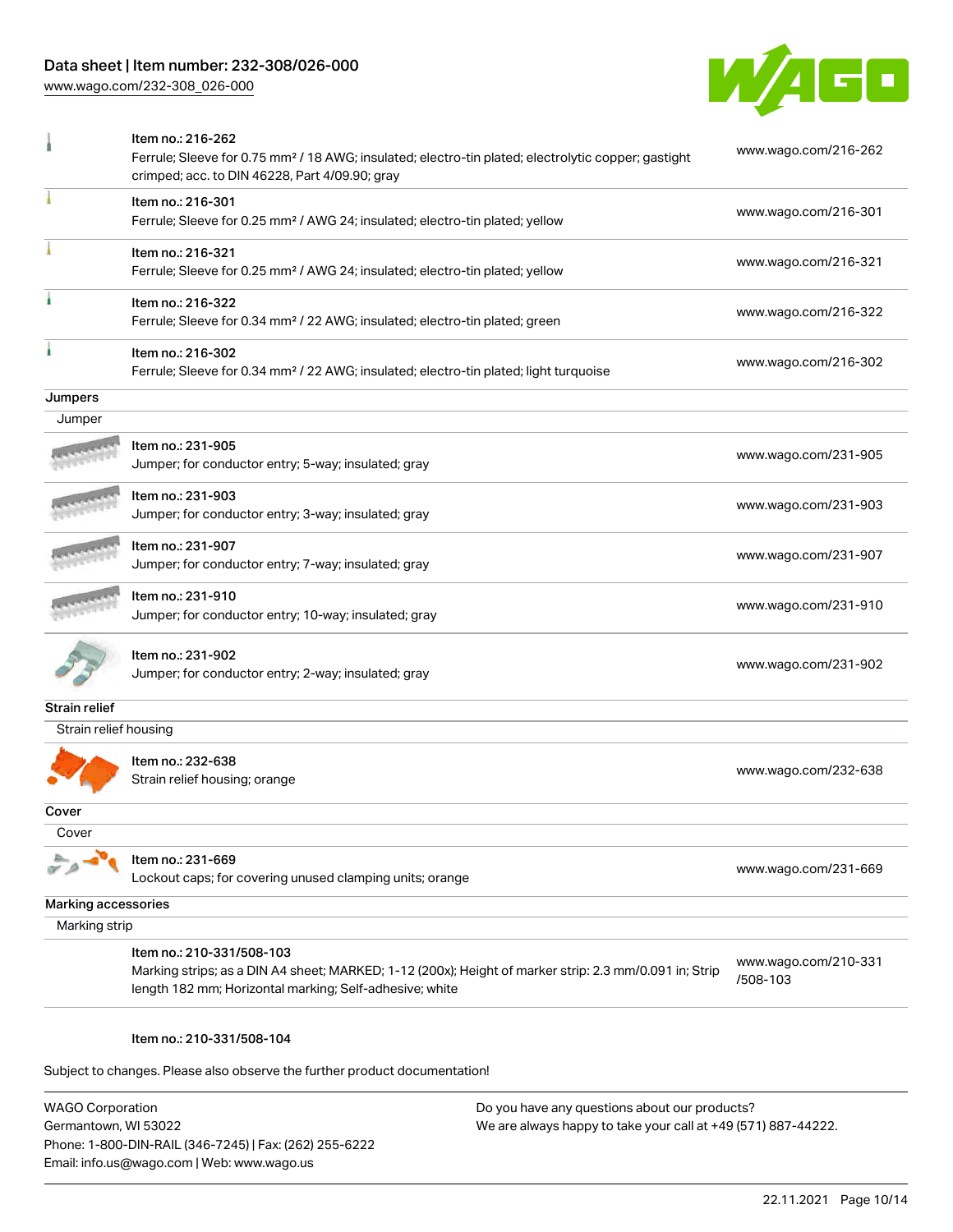# Data sheet | Item number: 232-308/026-000

[www.wago.com/232-308\\_026-000](http://www.wago.com/232-308_026-000)



|                       | Item no.: 216-262<br>Ferrule; Sleeve for 0.75 mm <sup>2</sup> / 18 AWG; insulated; electro-tin plated; electrolytic copper; gastight<br>crimped; acc. to DIN 46228, Part 4/09.90; gray         | www.wago.com/216-262             |  |
|-----------------------|------------------------------------------------------------------------------------------------------------------------------------------------------------------------------------------------|----------------------------------|--|
|                       | Item no.: 216-301<br>Ferrule; Sleeve for 0.25 mm <sup>2</sup> / AWG 24; insulated; electro-tin plated; yellow                                                                                  | www.wago.com/216-301             |  |
|                       | Item no.: 216-321<br>Ferrule; Sleeve for 0.25 mm <sup>2</sup> / AWG 24; insulated; electro-tin plated; yellow                                                                                  | www.wago.com/216-321             |  |
|                       | Item no.: 216-322<br>Ferrule; Sleeve for 0.34 mm <sup>2</sup> / 22 AWG; insulated; electro-tin plated; green                                                                                   | www.wago.com/216-322             |  |
|                       | Item no.: 216-302<br>Ferrule; Sleeve for 0.34 mm <sup>2</sup> / 22 AWG; insulated; electro-tin plated; light turquoise                                                                         | www.wago.com/216-302             |  |
| Jumpers               |                                                                                                                                                                                                |                                  |  |
| Jumper                |                                                                                                                                                                                                |                                  |  |
|                       | Item no.: 231-905<br>Jumper; for conductor entry; 5-way; insulated; gray                                                                                                                       | www.wago.com/231-905             |  |
|                       | Item no.: 231-903<br>Jumper; for conductor entry; 3-way; insulated; gray                                                                                                                       | www.wago.com/231-903             |  |
|                       | Item no.: 231-907<br>Jumper; for conductor entry; 7-way; insulated; gray                                                                                                                       | www.wago.com/231-907             |  |
|                       | Item no.: 231-910<br>Jumper; for conductor entry; 10-way; insulated; gray                                                                                                                      | www.wago.com/231-910             |  |
|                       | Item no.: 231-902<br>Jumper; for conductor entry; 2-way; insulated; gray                                                                                                                       | www.wago.com/231-902             |  |
| <b>Strain relief</b>  |                                                                                                                                                                                                |                                  |  |
| Strain relief housing |                                                                                                                                                                                                |                                  |  |
|                       | Item no.: 232-638<br>Strain relief housing; orange                                                                                                                                             | www.wago.com/232-638             |  |
| Cover                 |                                                                                                                                                                                                |                                  |  |
| Cover                 |                                                                                                                                                                                                |                                  |  |
|                       | Item no.: 231-669<br>Lockout caps; for covering unused clamping units; orange                                                                                                                  | www.wago.com/231-669             |  |
| Marking accessories   |                                                                                                                                                                                                |                                  |  |
| Marking strip         |                                                                                                                                                                                                |                                  |  |
|                       | Item no.: 210-331/508-103<br>Marking strips; as a DIN A4 sheet; MARKED; 1-12 (200x); Height of marker strip: 2.3 mm/0.091 in; Strip<br>length 182 mm; Horizontal marking; Self-adhesive; white | www.wago.com/210-331<br>/508-103 |  |

#### Item no.: 210-331/508-104

Subject to changes. Please also observe the further product documentation!

WAGO Corporation Germantown, WI 53022 Phone: 1-800-DIN-RAIL (346-7245) | Fax: (262) 255-6222 Email: info.us@wago.com | Web: www.wago.us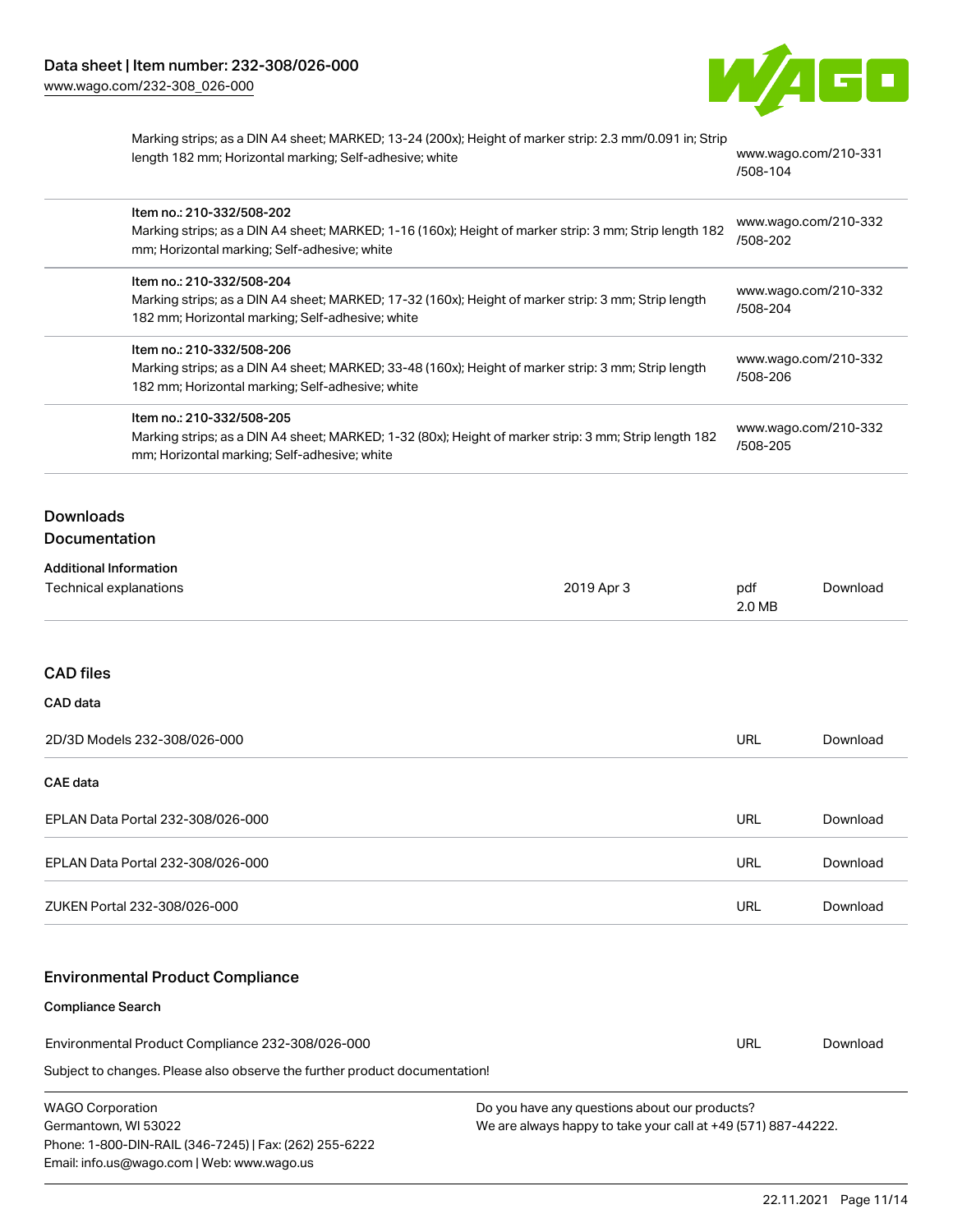

| Marking strips; as a DIN A4 sheet; MARKED; 13-24 (200x); Height of marker strip: 2.3 mm/0.091 in; Strip |           |
|---------------------------------------------------------------------------------------------------------|-----------|
| length 182 mm; Horizontal marking; Self-adhesive; white                                                 | <b>WW</b> |

w.wago.com/210-331 [/508-104](http://www.wago.com/210-331/508-104)

|                                                                                                                                | Item no.: 210-332/508-202<br>mm; Horizontal marking; Self-adhesive; white                                                                                                            | Marking strips; as a DIN A4 sheet; MARKED; 1-16 (160x); Height of marker strip: 3 mm; Strip length 182 |                                  | www.wago.com/210-332<br>/508-202 |  |
|--------------------------------------------------------------------------------------------------------------------------------|--------------------------------------------------------------------------------------------------------------------------------------------------------------------------------------|--------------------------------------------------------------------------------------------------------|----------------------------------|----------------------------------|--|
|                                                                                                                                | Item no.: 210-332/508-204<br>Marking strips; as a DIN A4 sheet; MARKED; 17-32 (160x); Height of marker strip: 3 mm; Strip length<br>182 mm; Horizontal marking; Self-adhesive; white |                                                                                                        | www.wago.com/210-332<br>/508-204 |                                  |  |
|                                                                                                                                | Item no.: 210-332/508-206<br>Marking strips; as a DIN A4 sheet; MARKED; 33-48 (160x); Height of marker strip: 3 mm; Strip length<br>182 mm; Horizontal marking; Self-adhesive; white |                                                                                                        | www.wago.com/210-332<br>/508-206 |                                  |  |
|                                                                                                                                | Item no.: 210-332/508-205<br>Marking strips; as a DIN A4 sheet; MARKED; 1-32 (80x); Height of marker strip: 3 mm; Strip length 182<br>mm; Horizontal marking; Self-adhesive; white   |                                                                                                        | www.wago.com/210-332<br>/508-205 |                                  |  |
| <b>Downloads</b><br>Documentation                                                                                              |                                                                                                                                                                                      |                                                                                                        |                                  |                                  |  |
| <b>Additional Information</b><br><b>Technical explanations</b>                                                                 |                                                                                                                                                                                      | 2019 Apr 3                                                                                             | pdf<br>2.0 MB                    | Download                         |  |
| <b>CAD files</b><br>CAD data                                                                                                   |                                                                                                                                                                                      |                                                                                                        |                                  |                                  |  |
| 2D/3D Models 232-308/026-000                                                                                                   |                                                                                                                                                                                      |                                                                                                        | <b>URL</b>                       | Download                         |  |
| CAE data                                                                                                                       |                                                                                                                                                                                      |                                                                                                        |                                  |                                  |  |
| EPLAN Data Portal 232-308/026-000                                                                                              |                                                                                                                                                                                      |                                                                                                        | <b>URL</b>                       | Download                         |  |
| EPLAN Data Portal 232-308/026-000                                                                                              |                                                                                                                                                                                      |                                                                                                        | <b>URL</b>                       | Download                         |  |
| ZUKEN Portal 232-308/026-000                                                                                                   |                                                                                                                                                                                      |                                                                                                        | <b>URL</b>                       | Download                         |  |
|                                                                                                                                | <b>Environmental Product Compliance</b>                                                                                                                                              |                                                                                                        |                                  |                                  |  |
| Compliance Search                                                                                                              |                                                                                                                                                                                      |                                                                                                        |                                  |                                  |  |
| Environmental Product Compliance 232-308/026-000<br>Subject to changes. Please also observe the further product documentation! |                                                                                                                                                                                      |                                                                                                        | <b>URL</b>                       | Download                         |  |
|                                                                                                                                |                                                                                                                                                                                      |                                                                                                        |                                  |                                  |  |

| WAGO Corporation                                       |
|--------------------------------------------------------|
| Germantown, WI 53022                                   |
| Phone: 1-800-DIN-RAIL (346-7245)   Fax: (262) 255-6222 |
| Email: info.us@wago.com   Web: www.wago.us             |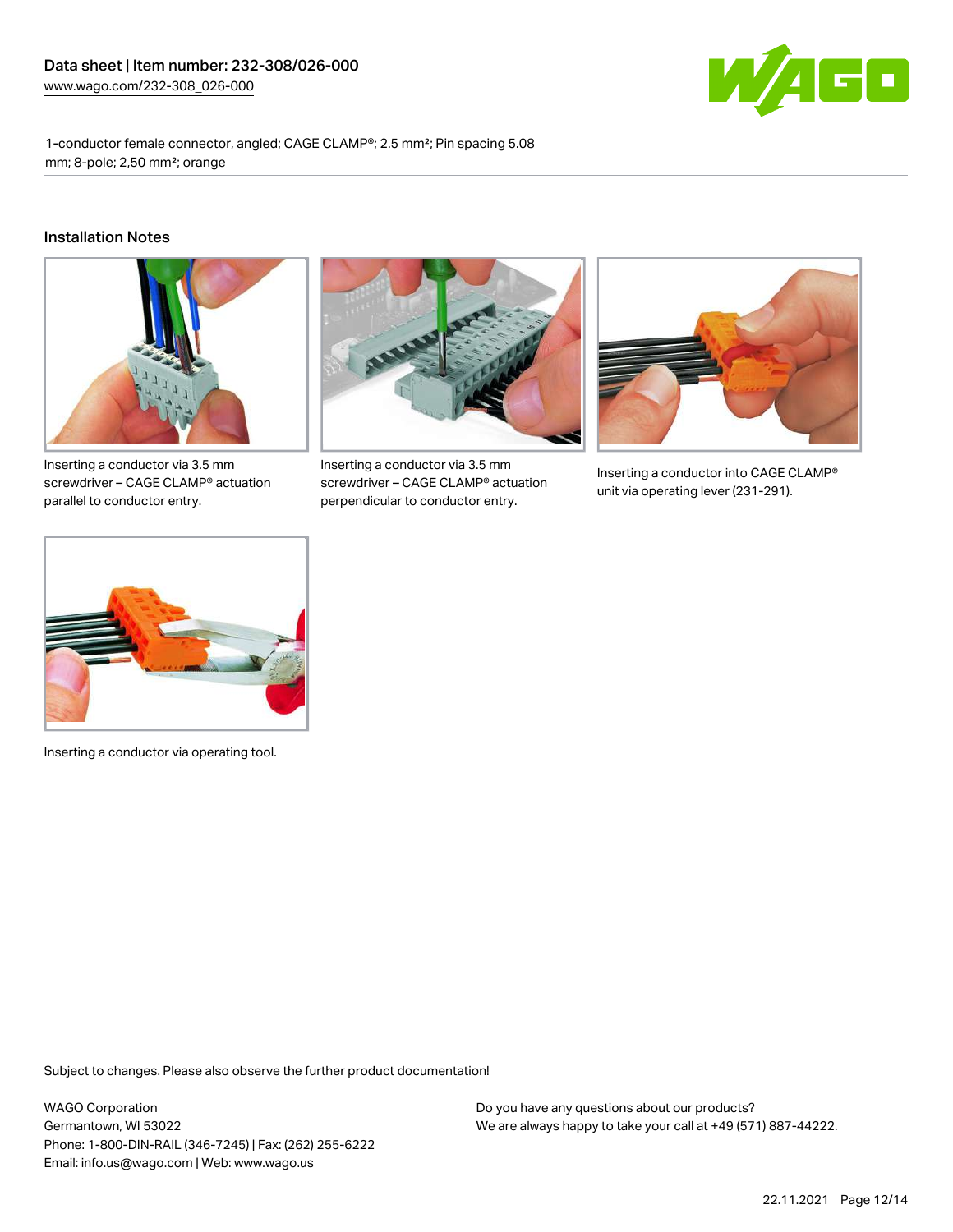

1-conductor female connector, angled; CAGE CLAMP®; 2.5 mm²; Pin spacing 5.08 mm; 8-pole; 2,50 mm²; orange

#### Installation Notes



Inserting a conductor via 3.5 mm screwdriver – CAGE CLAMP® actuation parallel to conductor entry.



Inserting a conductor via 3.5 mm screwdriver – CAGE CLAMP® actuation perpendicular to conductor entry.



Inserting a conductor into CAGE CLAMP® unit via operating lever (231-291).



Inserting a conductor via operating tool.

Subject to changes. Please also observe the further product documentation!

WAGO Corporation Germantown, WI 53022 Phone: 1-800-DIN-RAIL (346-7245) | Fax: (262) 255-6222 Email: info.us@wago.com | Web: www.wago.us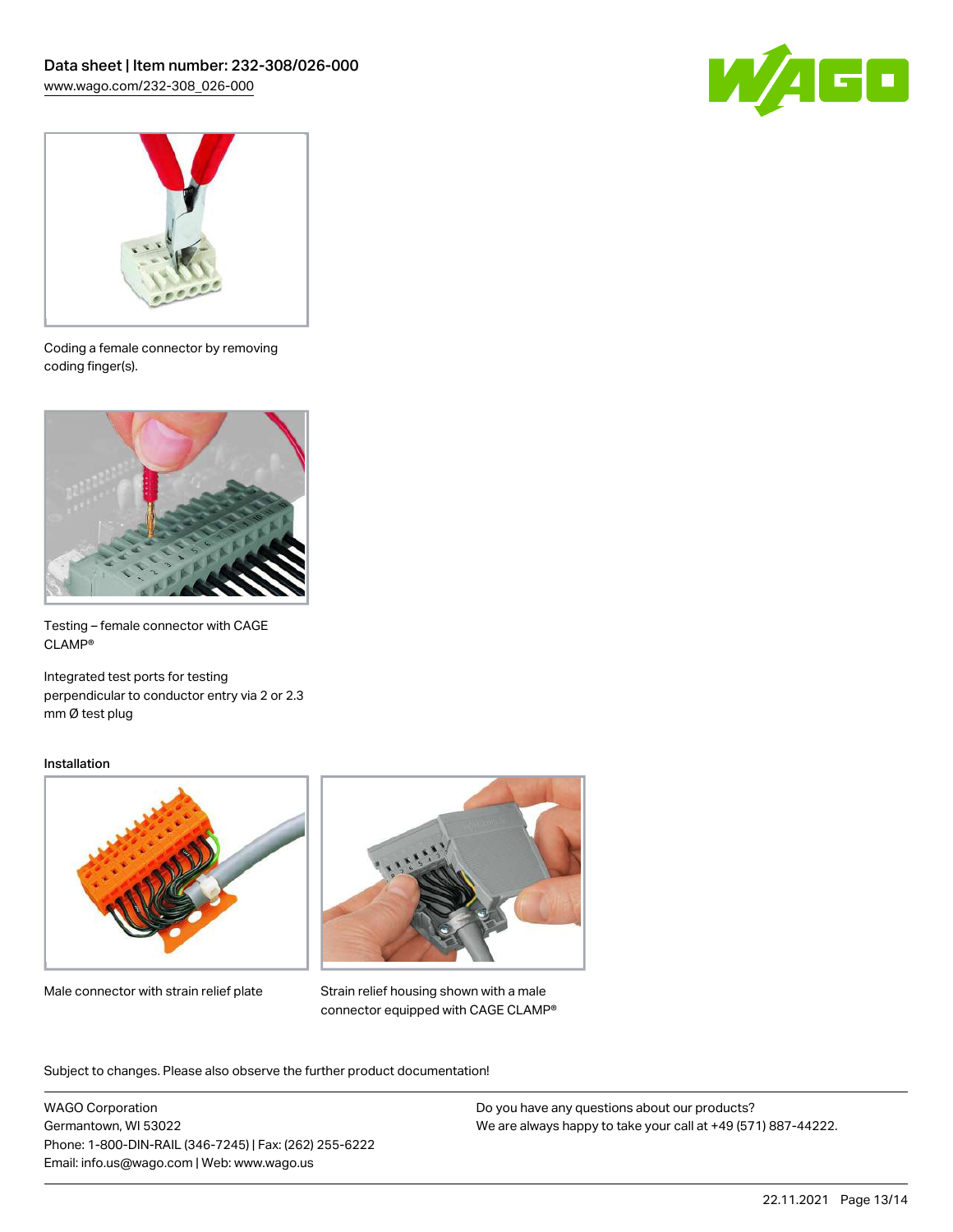



Coding a female connector by removing coding finger(s).

![](_page_12_Picture_4.jpeg)

Testing – female connector with CAGE CLAMP®

Integrated test ports for testing perpendicular to conductor entry via 2 or 2.3 mm Ø test plug

#### Installation

![](_page_12_Picture_8.jpeg)

Male connector with strain relief plate

![](_page_12_Picture_10.jpeg)

Strain relief housing shown with a male connector equipped with CAGE CLAMP®

Subject to changes. Please also observe the further product documentation!

WAGO Corporation Germantown, WI 53022 Phone: 1-800-DIN-RAIL (346-7245) | Fax: (262) 255-6222 Email: info.us@wago.com | Web: www.wago.us